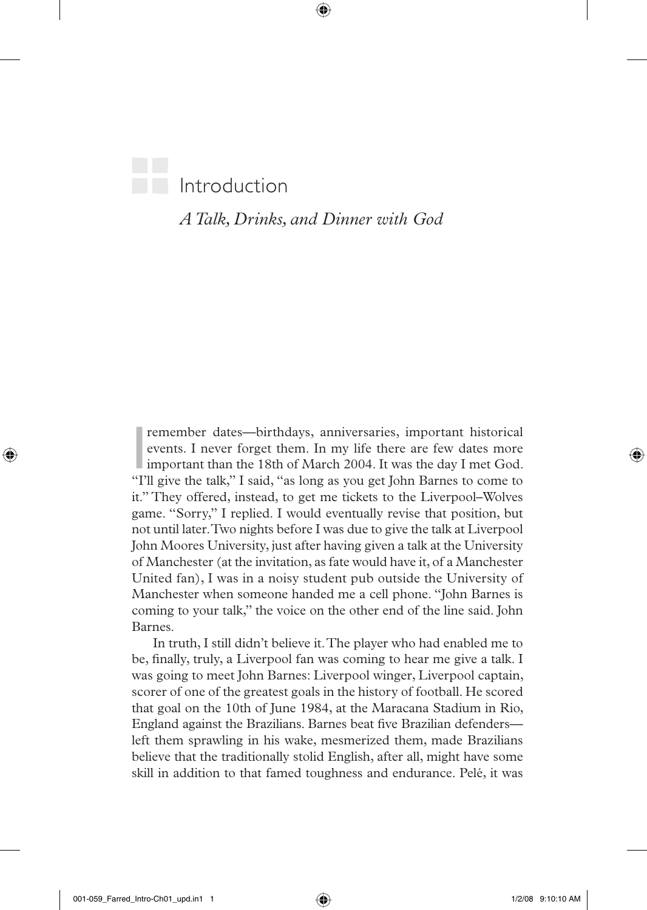*A Talk, Drinks, and Dinner with God*

⊕

remember dates—birthdays, anniversaries, important historical events. I never forget them. In my life there are few dates more Important than the 18th of March 2004. It was the day I met God. "I'll give the talk," I said, "as long as you get John Barnes to come to it." They offered, instead, to get me tickets to the Liverpool–Wolves game. "Sorry," I replied. I would eventually revise that position, but not until later. Two nights before I was due to give the talk at Liverpool John Moores University, just after having given a talk at the University of Manchester (at the invitation, as fate would have it, of a Manchester United fan), I was in a noisy student pub outside the University of Manchester when someone handed me a cell phone. "John Barnes is coming to your talk," the voice on the other end of the line said. John Barnes.

In truth, I still didn't believe it. The player who had enabled me to be, finally, truly, a Liverpool fan was coming to hear me give a talk. I was going to meet John Barnes: Liverpool winger, Liverpool captain, scorer of one of the greatest goals in the history of football. He scored that goal on the 10th of June 1984, at the Maracana Stadium in Rio, England against the Brazilians. Barnes beat five Brazilian defenders left them sprawling in his wake, mesmerized them, made Brazilians believe that the traditionally stolid English, after all, might have some skill in addition to that famed toughness and endurance. Pelé, it was

⊕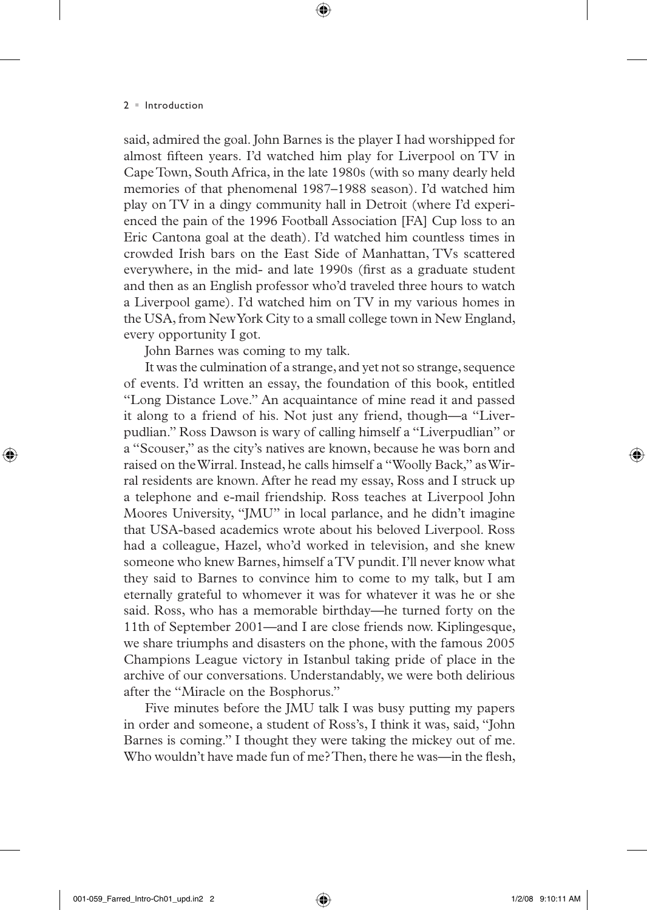⊕

said, admired the goal. John Barnes is the player I had worshipped for almost fifteen years. I'd watched him play for Liverpool on TV in Cape Town, South Africa, in the late 1980s (with so many dearly held memories of that phenomenal 1987–1988 season). I'd watched him play on TV in a dingy community hall in Detroit (where I'd experienced the pain of the 1996 Football Association [FA] Cup loss to an Eric Cantona goal at the death). I'd watched him countless times in crowded Irish bars on the East Side of Manhattan, TVs scattered everywhere, in the mid- and late 1990s (first as a graduate student and then as an English professor who'd traveled three hours to watch a Liverpool game). I'd watched him on TV in my various homes in the USA, from New York City to a small college town in New England, every opportunity I got.

⊕

John Barnes was coming to my talk.

It was the culmination of a strange, and yet not so strange, sequence of events. I'd written an essay, the foundation of this book, entitled "Long Distance Love." An acquaintance of mine read it and passed it along to a friend of his. Not just any friend, though—a "Liverpudlian." Ross Dawson is wary of calling himself a "Liverpudlian" or a "Scouser," as the city's natives are known, because he was born and raised on the Wirral. Instead, he calls himself a "Woolly Back," as Wirral residents are known. After he read my essay, Ross and I struck up a telephone and e-mail friendship. Ross teaches at Liverpool John Moores University, "JMU" in local parlance, and he didn't imagine that USA-based academics wrote about his beloved Liverpool. Ross had a colleague, Hazel, who'd worked in television, and she knew someone who knew Barnes, himself a TV pundit. I'll never know what they said to Barnes to convince him to come to my talk, but I am eternally grateful to whomever it was for whatever it was he or she said. Ross, who has a memorable birthday—he turned forty on the 11th of September 2001—and I are close friends now. Kiplingesque, we share triumphs and disasters on the phone, with the famous 2005 Champions League victory in Istanbul taking pride of place in the archive of our conversations. Understandably, we were both delirious after the "Miracle on the Bosphorus."

Five minutes before the JMU talk I was busy putting my papers in order and someone, a student of Ross's, I think it was, said, "John Barnes is coming." I thought they were taking the mickey out of me. Who wouldn't have made fun of me? Then, there he was—in the flesh,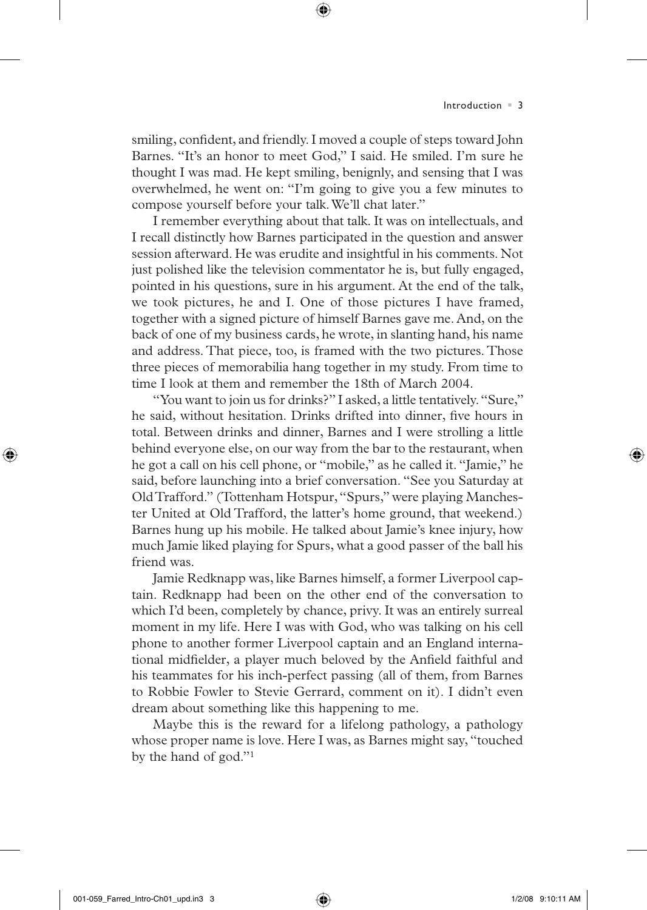smiling, confident, and friendly. I moved a couple of steps toward John Barnes. "It's an honor to meet God," I said. He smiled. I'm sure he thought I was mad. He kept smiling, benignly, and sensing that I was overwhelmed, he went on: "I'm going to give you a few minutes to compose yourself before your talk. We'll chat later."

⊕

I remember everything about that talk. It was on intellectuals, and I recall distinctly how Barnes participated in the question and answer session afterward. He was erudite and insightful in his comments. Not just polished like the television commentator he is, but fully engaged, pointed in his questions, sure in his argument. At the end of the talk, we took pictures, he and I. One of those pictures I have framed, together with a signed picture of himself Barnes gave me. And, on the back of one of my business cards, he wrote, in slanting hand, his name and address. That piece, too, is framed with the two pictures. Those three pieces of memorabilia hang together in my study. From time to time I look at them and remember the 18th of March 2004.

"You want to join us for drinks?" I asked, a little tentatively. "Sure," he said, without hesitation. Drinks drifted into dinner, five hours in total. Between drinks and dinner, Barnes and I were strolling a little behind everyone else, on our way from the bar to the restaurant, when he got a call on his cell phone, or "mobile," as he called it. "Jamie," he said, before launching into a brief conversation. "See you Saturday at Old Trafford." (Tottenham Hotspur, "Spurs," were playing Manchester United at Old Trafford, the latter's home ground, that weekend.) Barnes hung up his mobile. He talked about Jamie's knee injury, how much Jamie liked playing for Spurs, what a good passer of the ball his friend was.

Jamie Redknapp was, like Barnes himself, a former Liverpool captain. Redknapp had been on the other end of the conversation to which I'd been, completely by chance, privy. It was an entirely surreal moment in my life. Here I was with God, who was talking on his cell phone to another former Liverpool captain and an England international midfielder, a player much beloved by the Anfield faithful and his teammates for his inch-perfect passing (all of them, from Barnes to Robbie Fowler to Stevie Gerrard, comment on it). I didn't even dream about something like this happening to me.

Maybe this is the reward for a lifelong pathology, a pathology whose proper name is love. Here I was, as Barnes might say, "touched by the hand of god."1

⊕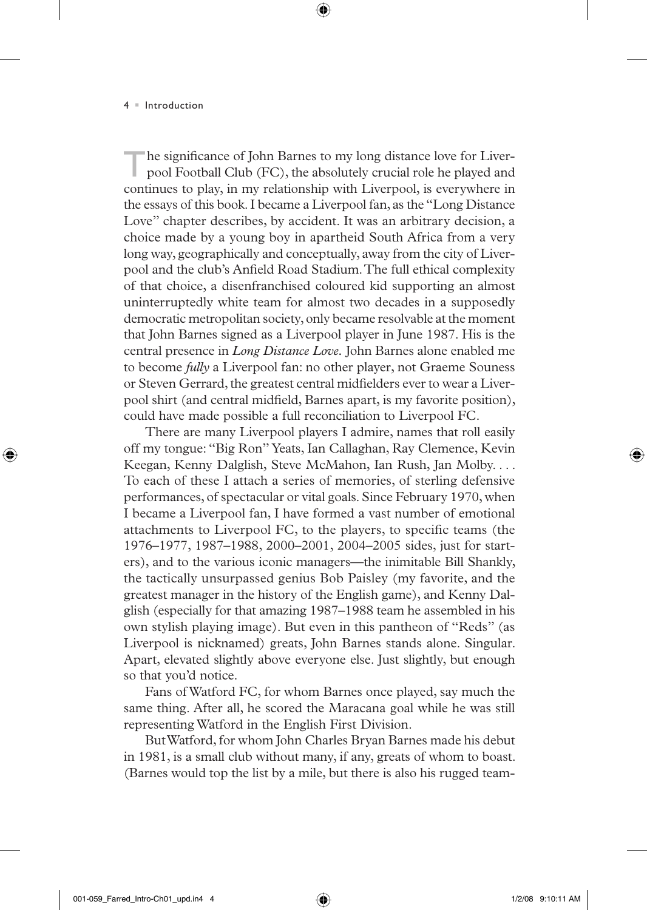⊕

The significance of John Barnes to my long distance love for Liver-<br>pool Football Club (FC), the absolutely crucial role he played and continues to play, in my relationship with Liverpool, is everywhere in the essays of this book. I became a Liverpool fan, as the "Long Distance Love" chapter describes, by accident. It was an arbitrary decision, a choice made by a young boy in apartheid South Africa from a very long way, geographically and conceptually, away from the city of Liverpool and the club's Anfield Road Stadium. The full ethical complexity of that choice, a disenfranchised coloured kid supporting an almost uninterruptedly white team for almost two decades in a supposedly democratic metropolitan society, only became resolvable at the moment that John Barnes signed as a Liverpool player in June 1987. His is the central presence in *Long Distance Love.* John Barnes alone enabled me to become *fully* a Liverpool fan: no other player, not Graeme Souness or Steven Gerrard, the greatest central midfielders ever to wear a Liverpool shirt (and central midfield, Barnes apart, is my favorite position), could have made possible a full reconciliation to Liverpool FC.

⊕

There are many Liverpool players I admire, names that roll easily off my tongue: "Big Ron" Yeats, Ian Callaghan, Ray Clemence, Kevin Keegan, Kenny Dalglish, Steve McMahon, Ian Rush, Jan Molby. . . . To each of these I attach a series of memories, of sterling defensive performances, of spectacular or vital goals. Since February 1970, when I became a Liverpool fan, I have formed a vast number of emotional attachments to Liverpool FC, to the players, to specific teams (the 1976–1977, 1987–1988, 2000–2001, 2004–2005 sides, just for starters), and to the various iconic managers—the inimitable Bill Shankly, the tactically unsurpassed genius Bob Paisley (my favorite, and the greatest manager in the history of the English game), and Kenny Dalglish (especially for that amazing 1987–1988 team he assembled in his own stylish playing image). But even in this pantheon of "Reds" (as Liverpool is nicknamed) greats, John Barnes stands alone. Singular. Apart, elevated slightly above everyone else. Just slightly, but enough so that you'd notice.

Fans of Watford FC, for whom Barnes once played, say much the same thing. After all, he scored the Maracana goal while he was still representing Watford in the English First Division.

But Watford, for whom John Charles Bryan Barnes made his debut in 1981, is a small club without many, if any, greats of whom to boast. (Barnes would top the list by a mile, but there is also his rugged team-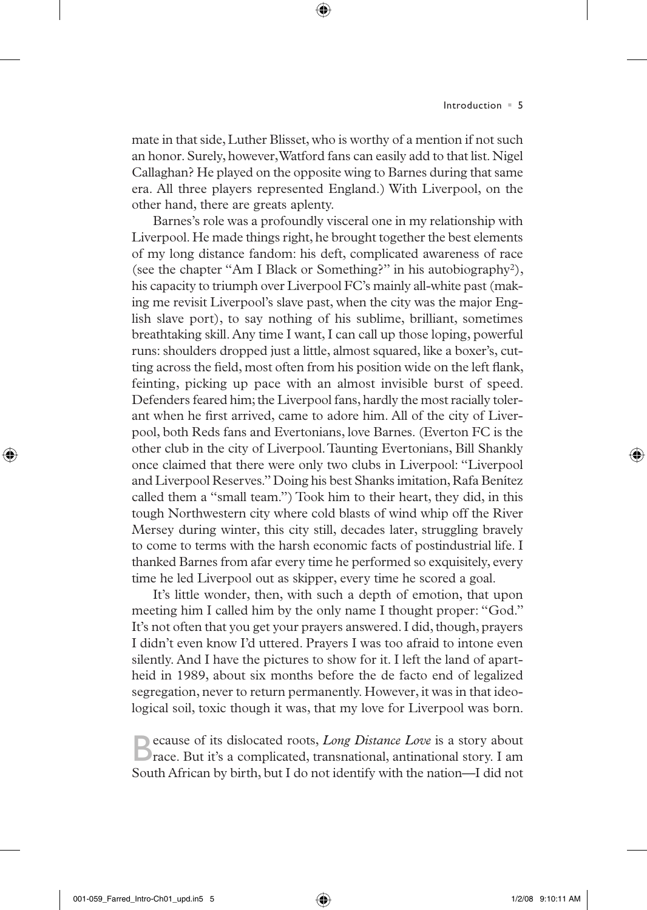mate in that side, Luther Blisset, who is worthy of a mention if not such an honor. Surely, however, Watford fans can easily add to that list. Nigel Callaghan? He played on the opposite wing to Barnes during that same era. All three players represented England.) With Liverpool, on the other hand, there are greats aplenty.

⊕

Barnes's role was a profoundly visceral one in my relationship with Liverpool. He made things right, he brought together the best elements of my long distance fandom: his deft, complicated awareness of race (see the chapter "Am I Black or Something?" in his autobiography2), his capacity to triumph over Liverpool FC's mainly all-white past (making me revisit Liverpool's slave past, when the city was the major English slave port), to say nothing of his sublime, brilliant, sometimes breathtaking skill. Any time I want, I can call up those loping, powerful runs: shoulders dropped just a little, almost squared, like a boxer's, cutting across the field, most often from his position wide on the left flank, feinting, picking up pace with an almost invisible burst of speed. Defenders feared him; the Liverpool fans, hardly the most racially tolerant when he first arrived, came to adore him. All of the city of Liverpool, both Reds fans and Evertonians, love Barnes. (Everton FC is the other club in the city of Liverpool. Taunting Evertonians, Bill Shankly once claimed that there were only two clubs in Liverpool: "Liverpool and Liverpool Reserves." Doing his best Shanks imitation, Rafa Benítez called them a "small team.") Took him to their heart, they did, in this tough Northwestern city where cold blasts of wind whip off the River Mersey during winter, this city still, decades later, struggling bravely to come to terms with the harsh economic facts of postindustrial life. I thanked Barnes from afar every time he performed so exquisitely, every time he led Liverpool out as skipper, every time he scored a goal.

It's little wonder, then, with such a depth of emotion, that upon meeting him I called him by the only name I thought proper: "God." It's not often that you get your prayers answered. I did, though, prayers I didn't even know I'd uttered. Prayers I was too afraid to intone even silently. And I have the pictures to show for it. I left the land of apartheid in 1989, about six months before the de facto end of legalized segregation, never to return permanently. However, it was in that ideological soil, toxic though it was, that my love for Liverpool was born.

ecause of its dislocated roots, *Long Distance Love* is a story about race. But it's a complicated, transnational, antinational story. I am South African by birth, but I do not identify with the nation—I did not

⊕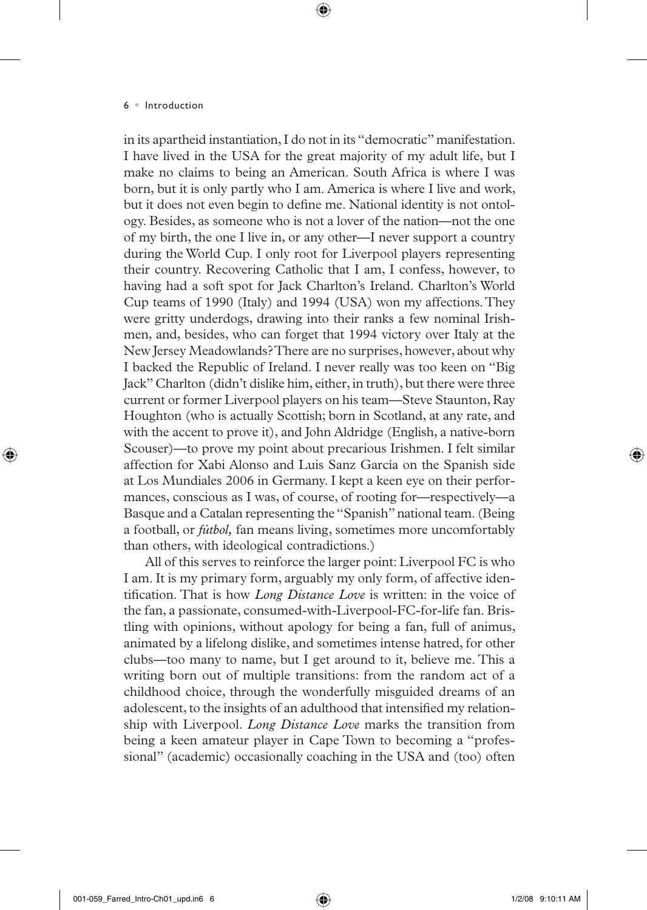# $6$   $\blacksquare$  Introduction

⊕

in its apartheid instantiation, I do not in its "democratic" manifestation. I have lived in the USA for the great majority of my adult life, but I make no claims to being an American. South Africa is where I was born, but it is only partly who I am. America is where I live and work, but it does not even begin to define me. National identity is not ontology. Besides, as someone who is not a lover of the nation—not the one of my birth, the one I live in, or any other—I never support a country during the World Cup. I only root for Liverpool players representing their country. Recovering Catholic that I am, I confess, however, to having had a soft spot for Jack Charlton's Ireland. Charlton's World Cup teams of 1990 (Italy) and 1994 (USA) won my affections. They were gritty underdogs, drawing into their ranks a few nominal Irishmen, and, besides, who can forget that 1994 victory over Italy at the New Jersey Meadowlands? There are no surprises, however, about why I backed the Republic of Ireland. I never really was too keen on "Big Jack" Charlton (didn't dislike him, either, in truth), but there were three current or former Liverpool players on his team—Steve Staunton, Ray Houghton (who is actually Scottish; born in Scotland, at any rate, and with the accent to prove it), and John Aldridge (English, a native-born Scouser)—to prove my point about precarious Irishmen. I felt similar affection for Xabi Alonso and Luis Sanz García on the Spanish side at Los Mundiales 2006 in Germany. I kept a keen eye on their performances, conscious as I was, of course, of rooting for—respectively—a Basque and a Catalan representing the "Spanish" national team. (Being a football, or *fútbol,* fan means living, sometimes more uncomfortably than others, with ideological contradictions.)

⊕

All of this serves to reinforce the larger point: Liverpool FC is who I am. It is my primary form, arguably my only form, of affective identification. That is how *Long Distance Love* is written: in the voice of the fan, a passionate, consumed-with-Liverpool-FC-for-life fan. Bristling with opinions, without apology for being a fan, full of animus, animated by a lifelong dislike, and sometimes intense hatred, for other clubs—too many to name, but I get around to it, believe me. This a writing born out of multiple transitions: from the random act of a childhood choice, through the wonderfully misguided dreams of an adolescent, to the insights of an adulthood that intensified my relationship with Liverpool. *Long Distance Love* marks the transition from being a keen amateur player in Cape Town to becoming a "professional" (academic) occasionally coaching in the USA and (too) often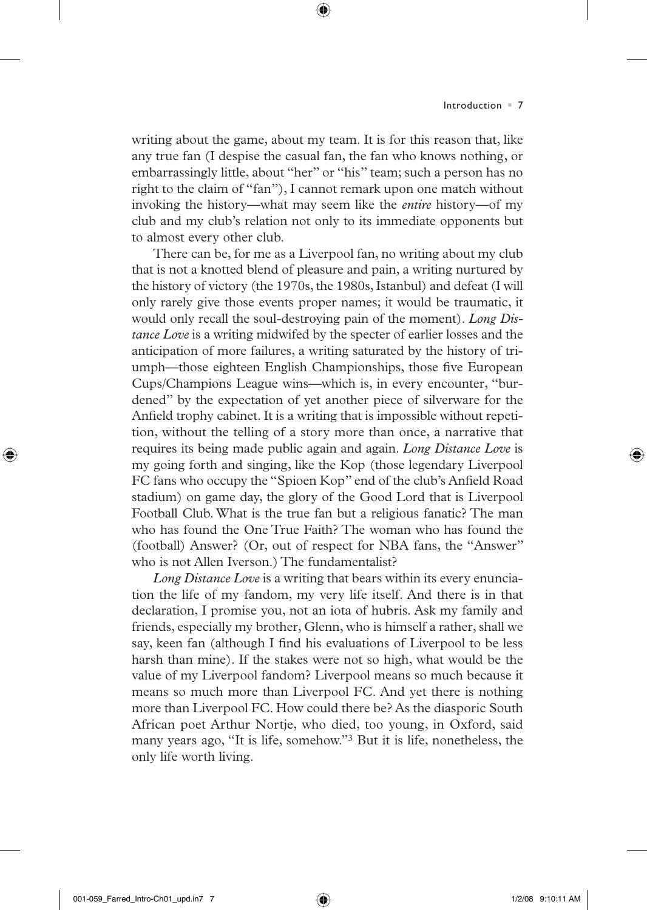writing about the game, about my team. It is for this reason that, like any true fan (I despise the casual fan, the fan who knows nothing, or embarrassingly little, about "her" or "his" team; such a person has no right to the claim of "fan"), I cannot remark upon one match without invoking the history—what may seem like the *entire* history—of my club and my club's relation not only to its immediate opponents but to almost every other club.

⊕

There can be, for me as a Liverpool fan, no writing about my club that is not a knotted blend of pleasure and pain, a writing nurtured by the history of victory (the 1970s, the 1980s, Istanbul) and defeat (I will only rarely give those events proper names; it would be traumatic, it would only recall the soul-destroying pain of the moment). *Long Distance Love* is a writing midwifed by the specter of earlier losses and the anticipation of more failures, a writing saturated by the history of triumph—those eighteen English Championships, those five European Cups/Champions League wins—which is, in every encounter, "burdened" by the expectation of yet another piece of silverware for the Anfield trophy cabinet. It is a writing that is impossible without repetition, without the telling of a story more than once, a narrative that requires its being made public again and again. *Long Distance Love* is my going forth and singing, like the Kop (those legendary Liverpool FC fans who occupy the "Spioen Kop" end of the club's Anfield Road stadium) on game day, the glory of the Good Lord that is Liverpool Football Club. What is the true fan but a religious fanatic? The man who has found the One True Faith? The woman who has found the (football) Answer? (Or, out of respect for NBA fans, the "Answer" who is not Allen Iverson.) The fundamentalist?

*Long Distance Love* is a writing that bears within its every enunciation the life of my fandom, my very life itself. And there is in that declaration, I promise you, not an iota of hubris. Ask my family and friends, especially my brother, Glenn, who is himself a rather, shall we say, keen fan (although I find his evaluations of Liverpool to be less harsh than mine). If the stakes were not so high, what would be the value of my Liverpool fandom? Liverpool means so much because it means so much more than Liverpool FC. And yet there is nothing more than Liverpool FC. How could there be? As the diasporic South African poet Arthur Nortje, who died, too young, in Oxford, said many years ago, "It is life, somehow."3 But it is life, nonetheless, the only life worth living.

⊕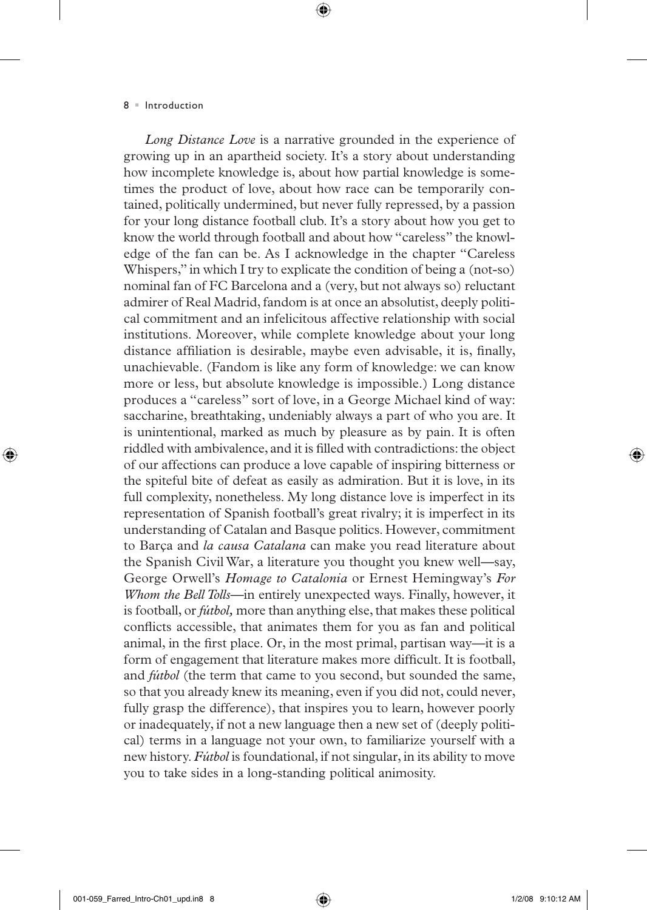⊕

*Long Distance Love* is a narrative grounded in the experience of growing up in an apartheid society. It's a story about understanding how incomplete knowledge is, about how partial knowledge is sometimes the product of love, about how race can be temporarily contained, politically undermined, but never fully repressed, by a passion for your long distance football club. It's a story about how you get to know the world through football and about how "careless" the knowledge of the fan can be. As I acknowledge in the chapter "Careless Whispers," in which I try to explicate the condition of being a (not-so) nominal fan of FC Barcelona and a (very, but not always so) reluctant admirer of Real Madrid, fandom is at once an absolutist, deeply political commitment and an infelicitous affective relationship with social institutions. Moreover, while complete knowledge about your long distance affiliation is desirable, maybe even advisable, it is, finally, unachievable. (Fandom is like any form of knowledge: we can know more or less, but absolute knowledge is impossible.) Long distance produces a "careless" sort of love, in a George Michael kind of way: saccharine, breathtaking, undeniably always a part of who you are. It is unintentional, marked as much by pleasure as by pain. It is often riddled with ambivalence, and it is filled with contradictions: the object of our affections can produce a love capable of inspiring bitterness or the spiteful bite of defeat as easily as admiration. But it is love, in its full complexity, nonetheless. My long distance love is imperfect in its representation of Spanish football's great rivalry; it is imperfect in its understanding of Catalan and Basque politics. However, commitment to Barça and *la causa Catalana* can make you read literature about the Spanish Civil War, a literature you thought you knew well—say, George Orwell's *Homage to Catalonia* or Ernest Hemingway's *For Whom the Bell Tolls*—in entirely unexpected ways. Finally, however, it is football, or *fútbol,* more than anything else, that makes these political conflicts accessible, that animates them for you as fan and political animal, in the first place. Or, in the most primal, partisan way—it is a form of engagement that literature makes more difficult. It is football, and *fútbol* (the term that came to you second, but sounded the same, so that you already knew its meaning, even if you did not, could never, fully grasp the difference), that inspires you to learn, however poorly or inadequately, if not a new language then a new set of (deeply political) terms in a language not your own, to familiarize yourself with a new history. *Fútbol* is foundational, if not singular, in its ability to move you to take sides in a long-standing political animosity.

⊕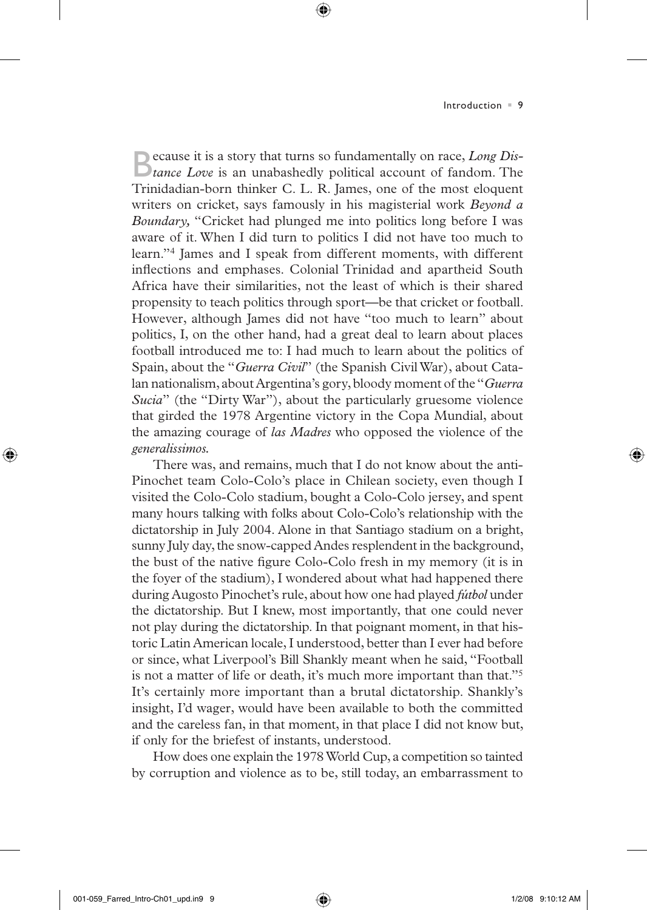Because it is a story that turns so fundamentally on race, *Long Dis-tance Love* is an unabashedly political account of fandom. The Trinidadian-born thinker C. L. R. James, one of the most eloquent writers on cricket, says famously in his magisterial work *Beyond a Boundary,* "Cricket had plunged me into politics long before I was aware of it. When I did turn to politics I did not have too much to learn."4 James and I speak from different moments, with different inflections and emphases. Colonial Trinidad and apartheid South Africa have their similarities, not the least of which is their shared propensity to teach politics through sport—be that cricket or football. However, although James did not have "too much to learn" about politics, I, on the other hand, had a great deal to learn about places football introduced me to: I had much to learn about the politics of Spain, about the "*Guerra Civil*" (the Spanish Civil War), about Catalan nationalism, about Argentina's gory, bloody moment of the "*Guerra Sucia*" (the "Dirty War"), about the particularly gruesome violence that girded the 1978 Argentine victory in the Copa Mundial, about the amazing courage of *las Madres* who opposed the violence of the *generalissimos.*

⊕

There was, and remains, much that I do not know about the anti-Pinochet team Colo-Colo's place in Chilean society, even though I visited the Colo-Colo stadium, bought a Colo-Colo jersey, and spent many hours talking with folks about Colo-Colo's relationship with the dictatorship in July 2004. Alone in that Santiago stadium on a bright, sunny July day, the snow-capped Andes resplendent in the background, the bust of the native figure Colo-Colo fresh in my memory (it is in the foyer of the stadium), I wondered about what had happened there during Augosto Pinochet's rule, about how one had played *fútbol* under the dictatorship. But I knew, most importantly, that one could never not play during the dictatorship. In that poignant moment, in that historic Latin American locale, I understood, better than I ever had before or since, what Liverpool's Bill Shankly meant when he said, "Football is not a matter of life or death, it's much more important than that."5 It's certainly more important than a brutal dictatorship. Shankly's insight, I'd wager, would have been available to both the committed and the careless fan, in that moment, in that place I did not know but, if only for the briefest of instants, understood.

How does one explain the 1978 World Cup, a competition so tainted by corruption and violence as to be, still today, an embarrassment to

⊕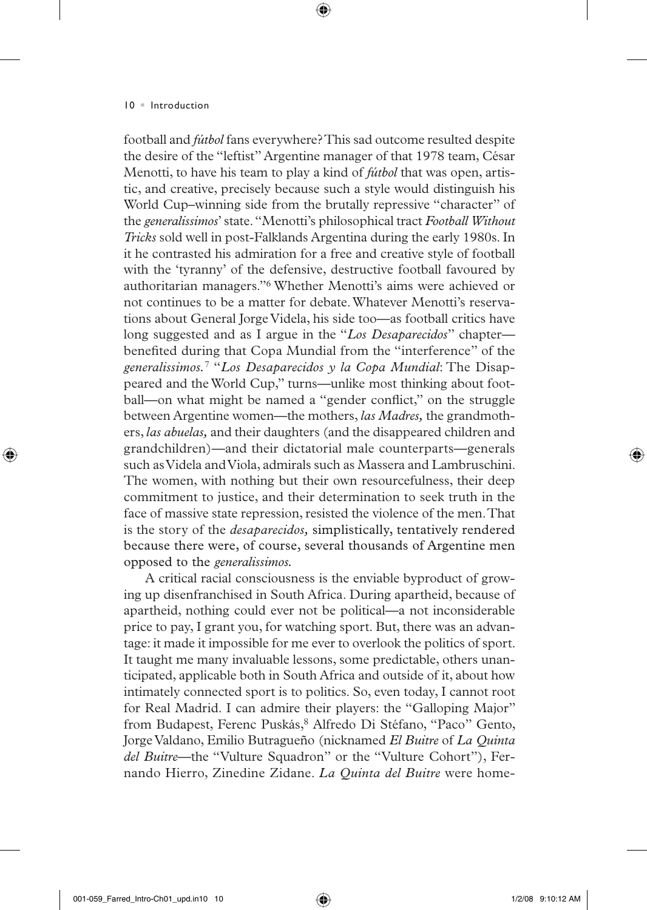⊕

football and *fútbol* fans everywhere? This sad outcome resulted despite the desire of the "leftist" Argentine manager of that 1978 team, César Menotti, to have his team to play a kind of *fútbol* that was open, artistic, and creative, precisely because such a style would distinguish his World Cup–winning side from the brutally repressive "character" of the *generalissimos*' state. "Menotti's philosophical tract *Football Without Tricks* sold well in post-Falklands Argentina during the early 1980s. In it he contrasted his admiration for a free and creative style of football with the 'tyranny' of the defensive, destructive football favoured by authoritarian managers."6 Whether Menotti's aims were achieved or not continues to be a matter for debate. Whatever Menotti's reservations about General Jorge Videla, his side too—as football critics have long suggested and as I argue in the "*Los Desaparecidos*" chapter benefited during that Copa Mundial from the "interference" of the *generalissimos.*7 "*Los Desaparecidos y la Copa Mundial*: The Disappeared and the World Cup," turns—unlike most thinking about football—on what might be named a "gender conflict," on the struggle between Argentine women—the mothers, *las Madres,* the grandmothers, *las abuelas,* and their daughters (and the disappeared children and grandchildren)—and their dictatorial male counterparts—generals such as Videla and Viola, admirals such as Massera and Lambruschini. The women, with nothing but their own resourcefulness, their deep commitment to justice, and their determination to seek truth in the face of massive state repression, resisted the violence of the men. That is the story of the *desaparecidos,* simplistically, tentatively rendered because there were, of course, several thousands of Argentine men opposed to the *generalissimos.*

⊕

A critical racial consciousness is the enviable byproduct of growing up disenfranchised in South Africa. During apartheid, because of apartheid, nothing could ever not be political—a not inconsiderable price to pay, I grant you, for watching sport. But, there was an advantage: it made it impossible for me ever to overlook the politics of sport. It taught me many invaluable lessons, some predictable, others unanticipated, applicable both in South Africa and outside of it, about how intimately connected sport is to politics. So, even today, I cannot root for Real Madrid. I can admire their players: the "Galloping Major" from Budapest, Ferenc Puskás,<sup>8</sup> Alfredo Di Stéfano, "Paco" Gento, Jorge Valdano, Emilio Butragueño (nicknamed *El Buitre* of *La Quinta del Buitre*—the "Vulture Squadron" or the "Vulture Cohort"), Fernando Hierro, Zinedine Zidane. *La Quinta del Buitre* were home-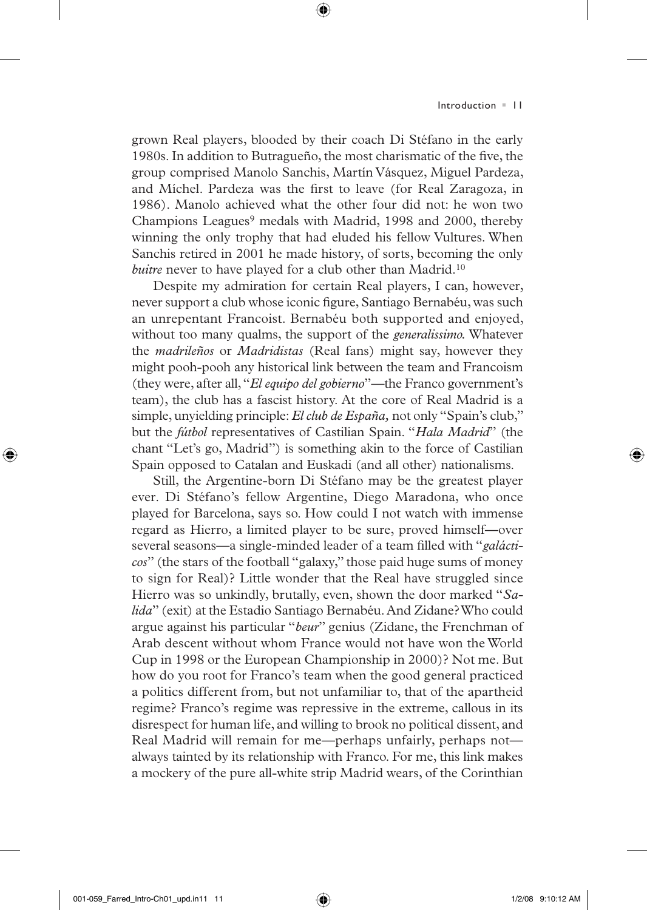#### Introduction · 11

grown Real players, blooded by their coach Di Stéfano in the early 1980s. In addition to Butragueño, the most charismatic of the five, the group comprised Manolo Sanchis, Martín Vásquez, Miguel Pardeza, and Michel. Pardeza was the first to leave (for Real Zaragoza, in 1986). Manolo achieved what the other four did not: he won two Champions Leagues<sup>9</sup> medals with Madrid, 1998 and 2000, thereby winning the only trophy that had eluded his fellow Vultures. When Sanchis retired in 2001 he made history, of sorts, becoming the only *buitre* never to have played for a club other than Madrid.<sup>10</sup>

⊕

Despite my admiration for certain Real players, I can, however, never support a club whose iconic figure, Santiago Bernabéu, was such an unrepentant Francoist. Bernabéu both supported and enjoyed, without too many qualms, the support of the *generalissimo.* Whatever the *madrileños* or *Madridistas* (Real fans) might say, however they might pooh-pooh any historical link between the team and Francoism (they were, after all, "*El equipo del gobierno*"—the Franco government's team), the club has a fascist history. At the core of Real Madrid is a simple, unyielding principle: *El club de España,* not only "Spain's club," but the *fútbol* representatives of Castilian Spain. "*Hala Madrid*" (the chant "Let's go, Madrid") is something akin to the force of Castilian Spain opposed to Catalan and Euskadi (and all other) nationalisms.

Still, the Argentine-born Di Stéfano may be the greatest player ever. Di Stéfano's fellow Argentine, Diego Maradona, who once played for Barcelona, says so. How could I not watch with immense regard as Hierro, a limited player to be sure, proved himself—over several seasons—a single-minded leader of a team filled with "galácti*cos*" (the stars of the football "galaxy," those paid huge sums of money to sign for Real)? Little wonder that the Real have struggled since Hierro was so unkindly, brutally, even, shown the door marked "*Salida*" (exit) at the Estadio Santiago Bernabéu. And Zidane? Who could argue against his particular "*beur*" genius (Zidane, the Frenchman of Arab descent without whom France would not have won the World Cup in 1998 or the European Championship in 2000)? Not me. But how do you root for Franco's team when the good general practiced a politics different from, but not unfamiliar to, that of the apartheid regime? Franco's regime was repressive in the extreme, callous in its disrespect for human life, and willing to brook no political dissent, and Real Madrid will remain for me—perhaps unfairly, perhaps not always tainted by its relationship with Franco. For me, this link makes a mockery of the pure all-white strip Madrid wears, of the Corinthian

⊕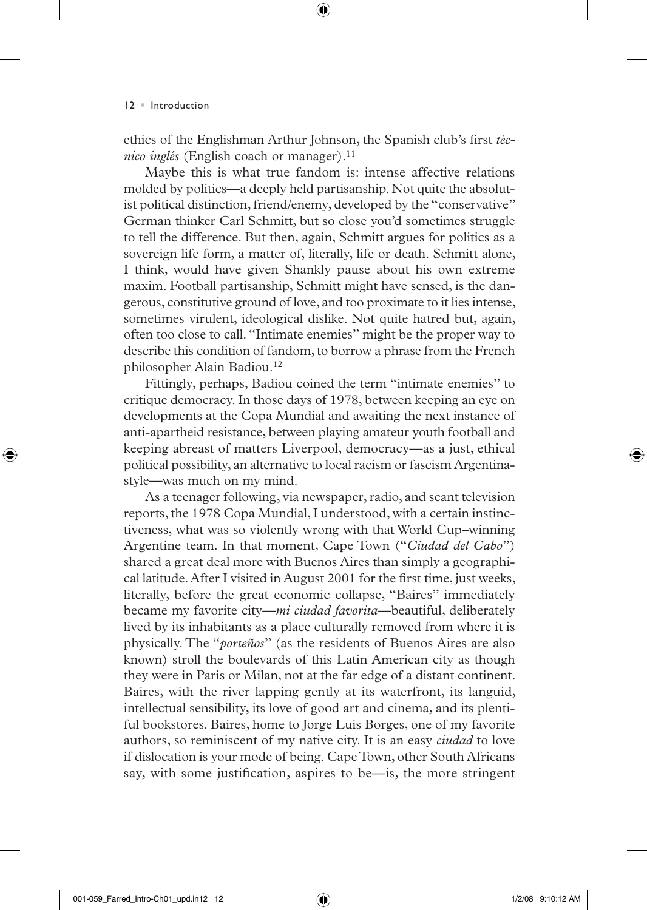⊕

ethics of the Englishman Arthur Johnson, the Spanish club's first *técnico inglés* (English coach or manager).<sup>11</sup>

⊕

Maybe this is what true fandom is: intense affective relations molded by politics—a deeply held partisanship. Not quite the absolutist political distinction, friend/enemy, developed by the "conservative" German thinker Carl Schmitt, but so close you'd sometimes struggle to tell the difference. But then, again, Schmitt argues for politics as a sovereign life form, a matter of, literally, life or death. Schmitt alone, I think, would have given Shankly pause about his own extreme maxim. Football partisanship, Schmitt might have sensed, is the dangerous, constitutive ground of love, and too proximate to it lies intense, sometimes virulent, ideological dislike. Not quite hatred but, again, often too close to call. "Intimate enemies" might be the proper way to describe this condition of fandom, to borrow a phrase from the French philosopher Alain Badiou.12

Fittingly, perhaps, Badiou coined the term "intimate enemies" to critique democracy. In those days of 1978, between keeping an eye on developments at the Copa Mundial and awaiting the next instance of anti-apartheid resistance, between playing amateur youth football and keeping abreast of matters Liverpool, democracy—as a just, ethical political possibility, an alternative to local racism or fascism Argentinastyle—was much on my mind.

As a teenager following, via newspaper, radio, and scant television reports, the 1978 Copa Mundial, I understood, with a certain instinctiveness, what was so violently wrong with that World Cup–winning Argentine team. In that moment, Cape Town ("*Ciudad del Cabo*") shared a great deal more with Buenos Aires than simply a geographical latitude. After I visited in August 2001 for the first time, just weeks, literally, before the great economic collapse, "Baires" immediately became my favorite city—*mi ciudad favorita*—beautiful, deliberately lived by its inhabitants as a place culturally removed from where it is physically. The "*porteños*" (as the residents of Buenos Aires are also known) stroll the boulevards of this Latin American city as though they were in Paris or Milan, not at the far edge of a distant continent. Baires, with the river lapping gently at its waterfront, its languid, intellectual sensibility, its love of good art and cinema, and its plentiful bookstores. Baires, home to Jorge Luis Borges, one of my favorite authors, so reminiscent of my native city. It is an easy *ciudad* to love if dislocation is your mode of being. Cape Town, other South Africans say, with some justification, aspires to be—is, the more stringent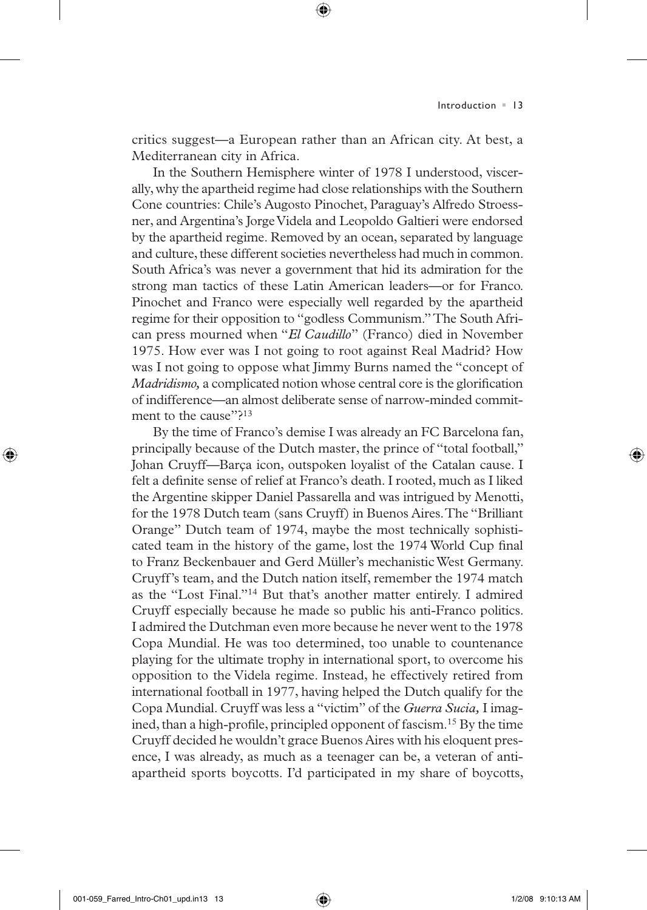critics suggest—a European rather than an African city. At best, a Mediterranean city in Africa.

⊕

In the Southern Hemisphere winter of 1978 I understood, viscerally, why the apartheid regime had close relationships with the Southern Cone countries: Chile's Augosto Pinochet, Paraguay's Alfredo Stroessner, and Argentina's Jorge Videla and Leopoldo Galtieri were endorsed by the apartheid regime. Removed by an ocean, separated by language and culture, these different societies nevertheless had much in common. South Africa's was never a government that hid its admiration for the strong man tactics of these Latin American leaders—or for Franco. Pinochet and Franco were especially well regarded by the apartheid regime for their opposition to "godless Communism." The South African press mourned when "*El Caudillo*" (Franco) died in November 1975. How ever was I not going to root against Real Madrid? How was I not going to oppose what Jimmy Burns named the "concept of *Madridismo*, a complicated notion whose central core is the glorification of indifference—an almost deliberate sense of narrow-minded commitment to the cause"?13

By the time of Franco's demise I was already an FC Barcelona fan, principally because of the Dutch master, the prince of "total football," Johan Cruyff—Barça icon, outspoken loyalist of the Catalan cause. I felt a definite sense of relief at Franco's death. I rooted, much as I liked the Argentine skipper Daniel Passarella and was intrigued by Menotti, for the 1978 Dutch team (sans Cruyff) in Buenos Aires. The "Brilliant Orange" Dutch team of 1974, maybe the most technically sophisticated team in the history of the game, lost the 1974 World Cup final to Franz Beckenbauer and Gerd Müller's mechanistic West Germany. Cruyff's team, and the Dutch nation itself, remember the 1974 match as the "Lost Final."14 But that's another matter entirely. I admired Cruyff especially because he made so public his anti-Franco politics. I admired the Dutchman even more because he never went to the 1978 Copa Mundial. He was too determined, too unable to countenance playing for the ultimate trophy in international sport, to overcome his opposition to the Videla regime. Instead, he effectively retired from international football in 1977, having helped the Dutch qualify for the Copa Mundial. Cruyff was less a "victim" of the *Guerra Sucia,* I imagined, than a high-profile, principled opponent of fascism.<sup>15</sup> By the time Cruyff decided he wouldn't grace Buenos Aires with his eloquent presence, I was already, as much as a teenager can be, a veteran of antiapartheid sports boycotts. I'd participated in my share of boycotts,

⊕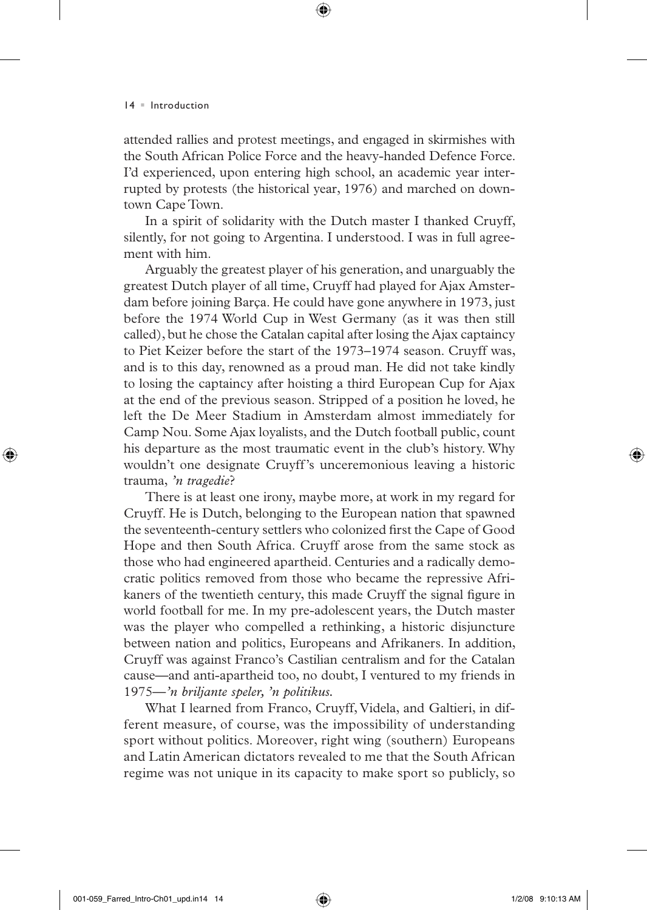# $14$   $\blacksquare$  Introduction

⊕

attended rallies and protest meetings, and engaged in skirmishes with the South African Police Force and the heavy-handed Defence Force. I'd experienced, upon entering high school, an academic year interrupted by protests (the historical year, 1976) and marched on downtown Cape Town.

⊕

In a spirit of solidarity with the Dutch master I thanked Cruyff, silently, for not going to Argentina. I understood. I was in full agreement with him.

Arguably the greatest player of his generation, and unarguably the greatest Dutch player of all time, Cruyff had played for Ajax Amsterdam before joining Barça. He could have gone anywhere in 1973, just before the 1974 World Cup in West Germany (as it was then still called), but he chose the Catalan capital after losing the Ajax captaincy to Piet Keizer before the start of the 1973–1974 season. Cruyff was, and is to this day, renowned as a proud man. He did not take kindly to losing the captaincy after hoisting a third European Cup for Ajax at the end of the previous season. Stripped of a position he loved, he left the De Meer Stadium in Amsterdam almost immediately for Camp Nou. Some Ajax loyalists, and the Dutch football public, count his departure as the most traumatic event in the club's history. Why wouldn't one designate Cruyff's unceremonious leaving a historic trauma, *'n tragedie*?

There is at least one irony, maybe more, at work in my regard for Cruyff. He is Dutch, belonging to the European nation that spawned the seventeenth-century settlers who colonized first the Cape of Good Hope and then South Africa. Cruyff arose from the same stock as those who had engineered apartheid. Centuries and a radically democratic politics removed from those who became the repressive Afrikaners of the twentieth century, this made Cruyff the signal figure in world football for me. In my pre-adolescent years, the Dutch master was the player who compelled a rethinking, a historic disjuncture between nation and politics, Europeans and Afrikaners. In addition, Cruyff was against Franco's Castilian centralism and for the Catalan cause—and anti-apartheid too, no doubt, I ventured to my friends in 1975—*'n briljante speler, 'n politikus.*

What I learned from Franco, Cruyff, Videla, and Galtieri, in different measure, of course, was the impossibility of understanding sport without politics. Moreover, right wing (southern) Europeans and Latin American dictators revealed to me that the South African regime was not unique in its capacity to make sport so publicly, so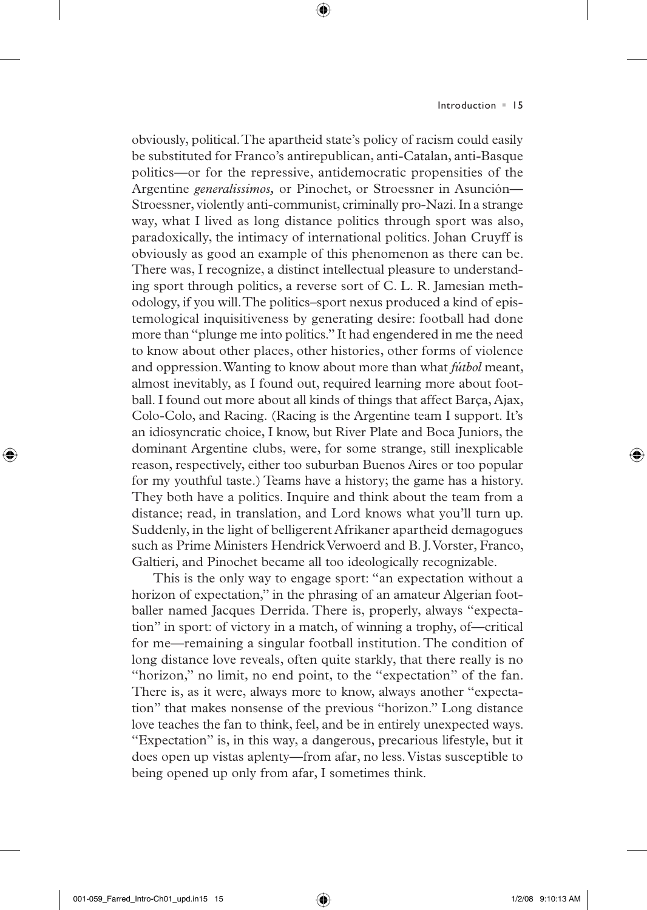obviously, political. The apartheid state's policy of racism could easily be substituted for Franco's antirepublican, anti-Catalan, anti-Basque politics—or for the repressive, antidemocratic propensities of the Argentine *generalissimos,* or Pinochet, or Stroessner in Asunción— Stroessner, violently anti-communist, criminally pro-Nazi. In a strange way, what I lived as long distance politics through sport was also, paradoxically, the intimacy of international politics. Johan Cruyff is obviously as good an example of this phenomenon as there can be. There was, I recognize, a distinct intellectual pleasure to understanding sport through politics, a reverse sort of C. L. R. Jamesian methodology, if you will. The politics–sport nexus produced a kind of epistemological inquisitiveness by generating desire: football had done more than "plunge me into politics." It had engendered in me the need to know about other places, other histories, other forms of violence and oppression. Wanting to know about more than what *fútbol* meant, almost inevitably, as I found out, required learning more about football. I found out more about all kinds of things that affect Barça, Ajax, Colo-Colo, and Racing. (Racing is the Argentine team I support. It's an idiosyncratic choice, I know, but River Plate and Boca Juniors, the dominant Argentine clubs, were, for some strange, still inexplicable reason, respectively, either too suburban Buenos Aires or too popular for my youthful taste.) Teams have a history; the game has a history. They both have a politics. Inquire and think about the team from a distance; read, in translation, and Lord knows what you'll turn up. Suddenly, in the light of belligerent Afrikaner apartheid demagogues such as Prime Ministers Hendrick Verwoerd and B. J. Vorster, Franco, Galtieri, and Pinochet became all too ideologically recognizable.

⊕

This is the only way to engage sport: "an expectation without a horizon of expectation," in the phrasing of an amateur Algerian footballer named Jacques Derrida. There is, properly, always "expectation" in sport: of victory in a match, of winning a trophy, of—critical for me—remaining a singular football institution. The condition of long distance love reveals, often quite starkly, that there really is no "horizon," no limit, no end point, to the "expectation" of the fan. There is, as it were, always more to know, always another "expectation" that makes nonsense of the previous "horizon." Long distance love teaches the fan to think, feel, and be in entirely unexpected ways. "Expectation" is, in this way, a dangerous, precarious lifestyle, but it does open up vistas aplenty—from afar, no less. Vistas susceptible to being opened up only from afar, I sometimes think.

⊕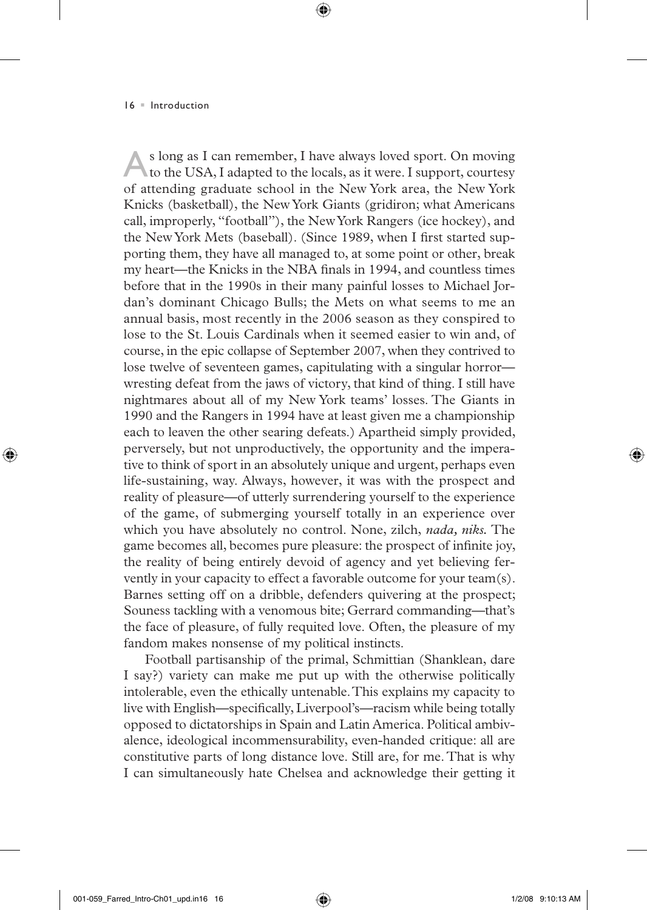⊕

s long as I can remember, I have always loved sport. On moving<br>to the USA, I adapted to the locals, as it were. I support, courtesy of attending graduate school in the New York area, the New York Knicks (basketball), the New York Giants (gridiron; what Americans call, improperly, "football"), the New York Rangers (ice hockey), and the New York Mets (baseball). (Since 1989, when I first started supporting them, they have all managed to, at some point or other, break my heart—the Knicks in the NBA finals in 1994, and countless times before that in the 1990s in their many painful losses to Michael Jordan's dominant Chicago Bulls; the Mets on what seems to me an annual basis, most recently in the 2006 season as they conspired to lose to the St. Louis Cardinals when it seemed easier to win and, of course, in the epic collapse of September 2007, when they contrived to lose twelve of seventeen games, capitulating with a singular horror wresting defeat from the jaws of victory, that kind of thing. I still have nightmares about all of my New York teams' losses. The Giants in 1990 and the Rangers in 1994 have at least given me a championship each to leaven the other searing defeats.) Apartheid simply provided, perversely, but not unproductively, the opportunity and the imperative to think of sport in an absolutely unique and urgent, perhaps even life-sustaining, way. Always, however, it was with the prospect and reality of pleasure—of utterly surrendering yourself to the experience of the game, of submerging yourself totally in an experience over which you have absolutely no control. None, zilch, *nada, niks.* The game becomes all, becomes pure pleasure: the prospect of infinite joy, the reality of being entirely devoid of agency and yet believing fervently in your capacity to effect a favorable outcome for your team(s). Barnes setting off on a dribble, defenders quivering at the prospect; Souness tackling with a venomous bite; Gerrard commanding—that's the face of pleasure, of fully requited love. Often, the pleasure of my fandom makes nonsense of my political instincts.

⊕

Football partisanship of the primal, Schmittian (Shanklean, dare I say?) variety can make me put up with the otherwise politically intolerable, even the ethically untenable. This explains my capacity to live with English—specifically, Liverpool's—racism while being totally opposed to dictatorships in Spain and Latin America. Political ambivalence, ideological incommensurability, even-handed critique: all are constitutive parts of long distance love. Still are, for me. That is why I can simultaneously hate Chelsea and acknowledge their getting it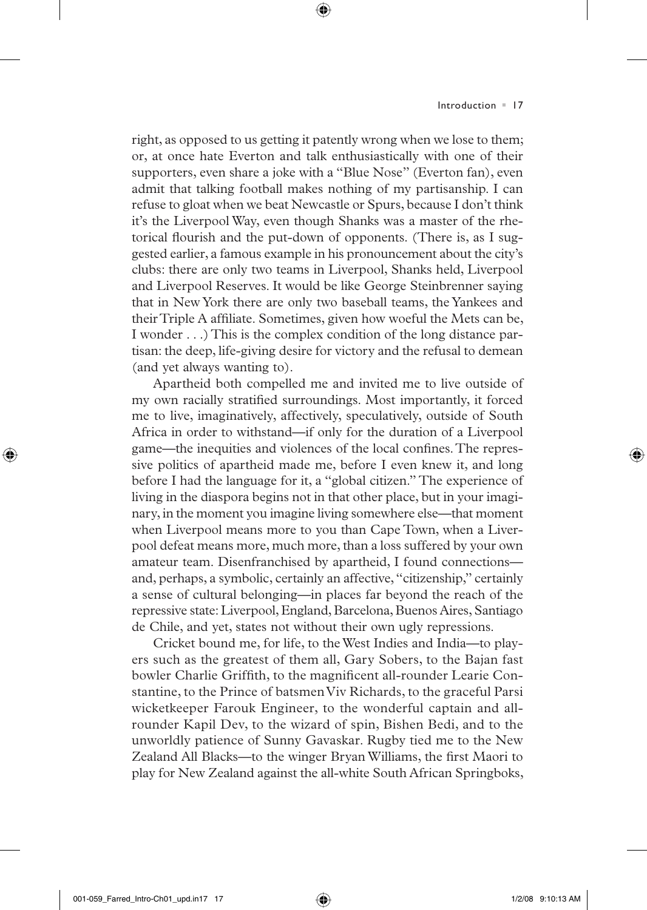right, as opposed to us getting it patently wrong when we lose to them; or, at once hate Everton and talk enthusiastically with one of their supporters, even share a joke with a "Blue Nose" (Everton fan), even admit that talking football makes nothing of my partisanship. I can refuse to gloat when we beat Newcastle or Spurs, because I don't think it's the Liverpool Way, even though Shanks was a master of the rhetorical flourish and the put-down of opponents. (There is, as I suggested earlier, a famous example in his pronouncement about the city's clubs: there are only two teams in Liverpool, Shanks held, Liverpool and Liverpool Reserves. It would be like George Steinbrenner saying that in New York there are only two baseball teams, the Yankees and their Triple A affiliate. Sometimes, given how woeful the Mets can be, I wonder . . .) This is the complex condition of the long distance partisan: the deep, life-giving desire for victory and the refusal to demean (and yet always wanting to).

⊕

Apartheid both compelled me and invited me to live outside of my own racially stratified surroundings. Most importantly, it forced me to live, imaginatively, affectively, speculatively, outside of South Africa in order to withstand—if only for the duration of a Liverpool game—the inequities and violences of the local confines. The repressive politics of apartheid made me, before I even knew it, and long before I had the language for it, a "global citizen." The experience of living in the diaspora begins not in that other place, but in your imaginary, in the moment you imagine living somewhere else—that moment when Liverpool means more to you than Cape Town, when a Liverpool defeat means more, much more, than a loss suffered by your own amateur team. Disenfranchised by apartheid, I found connections and, perhaps, a symbolic, certainly an affective, "citizenship," certainly a sense of cultural belonging—in places far beyond the reach of the repressive state: Liverpool, England, Barcelona, Buenos Aires, Santiago de Chile, and yet, states not without their own ugly repressions.

Cricket bound me, for life, to the West Indies and India—to players such as the greatest of them all, Gary Sobers, to the Bajan fast bowler Charlie Griffith, to the magnificent all-rounder Learie Constantine, to the Prince of batsmen Viv Richards, to the graceful Parsi wicketkeeper Farouk Engineer, to the wonderful captain and allrounder Kapil Dev, to the wizard of spin, Bishen Bedi, and to the unworldly patience of Sunny Gavaskar. Rugby tied me to the New Zealand All Blacks—to the winger Bryan Williams, the first Maori to play for New Zealand against the all-white South African Springboks,

⊕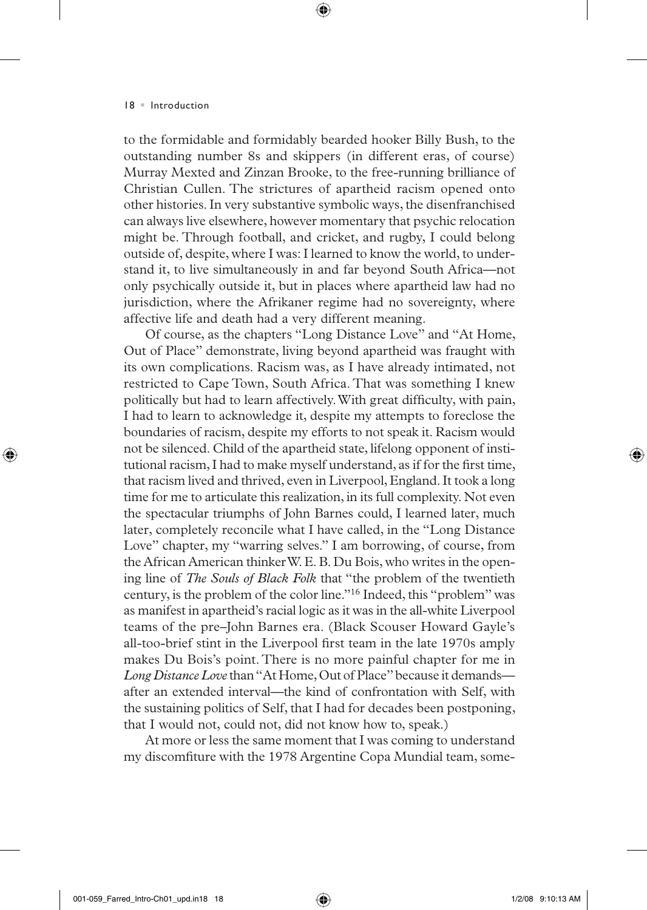⊕

to the formidable and formidably bearded hooker Billy Bush, to the outstanding number 8s and skippers (in different eras, of course) Murray Mexted and Zinzan Brooke, to the free-running brilliance of Christian Cullen. The strictures of apartheid racism opened onto other histories. In very substantive symbolic ways, the disenfranchised can always live elsewhere, however momentary that psychic relocation might be. Through football, and cricket, and rugby, I could belong outside of, despite, where I was: I learned to know the world, to understand it, to live simultaneously in and far beyond South Africa—not only psychically outside it, but in places where apartheid law had no jurisdiction, where the Afrikaner regime had no sovereignty, where affective life and death had a very different meaning.

⊕

Of course, as the chapters "Long Distance Love" and "At Home, Out of Place" demonstrate, living beyond apartheid was fraught with its own complications. Racism was, as I have already intimated, not restricted to Cape Town, South Africa. That was something I knew politically but had to learn affectively. With great difficulty, with pain, I had to learn to acknowledge it, despite my attempts to foreclose the boundaries of racism, despite my efforts to not speak it. Racism would not be silenced. Child of the apartheid state, lifelong opponent of institutional racism, I had to make myself understand, as if for the first time, that racism lived and thrived, even in Liverpool, England. It took a long time for me to articulate this realization, in its full complexity. Not even the spectacular triumphs of John Barnes could, I learned later, much later, completely reconcile what I have called, in the "Long Distance Love" chapter, my "warring selves." I am borrowing, of course, from the African American thinker W. E. B. Du Bois, who writes in the opening line of *The Souls of Black Folk* that "the problem of the twentieth century, is the problem of the color line."16 Indeed, this "problem" was as manifest in apartheid's racial logic as it was in the all-white Liverpool teams of the pre–John Barnes era. (Black Scouser Howard Gayle's all-too-brief stint in the Liverpool first team in the late 1970s amply makes Du Bois's point. There is no more painful chapter for me in *Long Distance Love* than "At Home, Out of Place" because it demands after an extended interval—the kind of confrontation with Self, with the sustaining politics of Self, that I had for decades been postponing, that I would not, could not, did not know how to, speak.)

At more or less the same moment that I was coming to understand my discomfiture with the 1978 Argentine Copa Mundial team, some-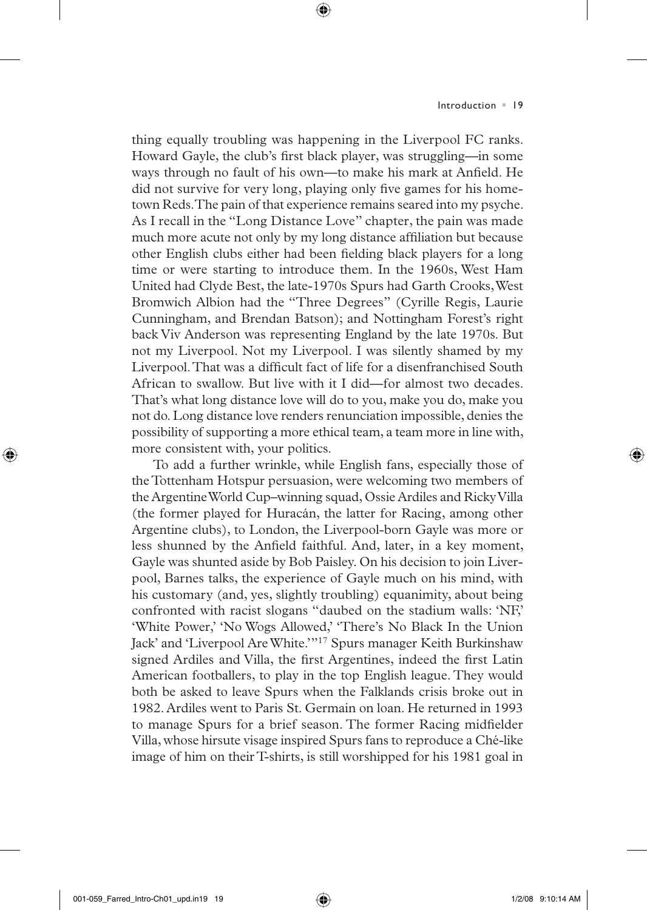thing equally troubling was happening in the Liverpool FC ranks. Howard Gayle, the club's first black player, was struggling—in some ways through no fault of his own—to make his mark at Anfield. He did not survive for very long, playing only five games for his hometown Reds. The pain of that experience remains seared into my psyche. As I recall in the "Long Distance Love" chapter, the pain was made much more acute not only by my long distance affiliation but because other English clubs either had been fielding black players for a long time or were starting to introduce them. In the 1960s, West Ham United had Clyde Best, the late-1970s Spurs had Garth Crooks, West Bromwich Albion had the "Three Degrees" (Cyrille Regis, Laurie Cunningham, and Brendan Batson); and Nottingham Forest's right back Viv Anderson was representing England by the late 1970s. But not my Liverpool. Not my Liverpool. I was silently shamed by my Liverpool. That was a difficult fact of life for a disenfranchised South African to swallow. But live with it I did—for almost two decades. That's what long distance love will do to you, make you do, make you not do. Long distance love renders renunciation impossible, denies the possibility of supporting a more ethical team, a team more in line with, more consistent with, your politics.

⊕

To add a further wrinkle, while English fans, especially those of the Tottenham Hotspur persuasion, were welcoming two members of the Argentine World Cup–winning squad, Ossie Ardiles and Ricky Villa (the former played for Huracán, the latter for Racing, among other Argentine clubs), to London, the Liverpool-born Gayle was more or less shunned by the Anfield faithful. And, later, in a key moment, Gayle was shunted aside by Bob Paisley. On his decision to join Liverpool, Barnes talks, the experience of Gayle much on his mind, with his customary (and, yes, slightly troubling) equanimity, about being confronted with racist slogans "daubed on the stadium walls: 'NF,' 'White Power,' 'No Wogs Allowed,' 'There's No Black In the Union Jack' and 'Liverpool Are White.'"17 Spurs manager Keith Burkinshaw signed Ardiles and Villa, the first Argentines, indeed the first Latin American footballers, to play in the top English league. They would both be asked to leave Spurs when the Falklands crisis broke out in 1982. Ardiles went to Paris St. Germain on loan. He returned in 1993 to manage Spurs for a brief season. The former Racing midfielder Villa, whose hirsute visage inspired Spurs fans to reproduce a Ché-like image of him on their T-shirts, is still worshipped for his 1981 goal in

⊕